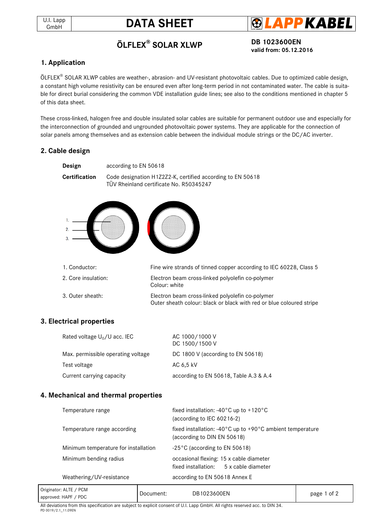



# **ÖLFLEX® SOLAR XLWP DB 1023600EN**

**valid from: 05.12.2016**

## **1. Application**

ÖLFLEX® SOLAR XLWP cables are weather-, abrasion- and UV-resistant photovoltaic cables. Due to optimized cable design, a constant high volume resistivity can be ensured even after long-term period in not contaminated water. The cable is suitable for direct burial considering the common VDE installation guide lines; see also to the conditions mentioned in chapter 5 of this data sheet.

These cross-linked, halogen free and double insulated solar cables are suitable for permanent outdoor use and especially for the interconnection of grounded and ungrounded photovoltaic power systems. They are applicable for the connection of solar panels among themselves and as extension cable between the individual module strings or the DC/AC inverter.

## **2. Cable design**

| Design<br>according to EN 50618 |                                                                                                                          |  |  |  |
|---------------------------------|--------------------------------------------------------------------------------------------------------------------------|--|--|--|
| Certification                   | Code designation H1Z2Z2-K, certified according to EN 50618<br>TÜV Rheinland certificate No. R50345247                    |  |  |  |
|                                 |                                                                                                                          |  |  |  |
| 1. Conductor:                   | Fine wire strands of tinned copper according to IEC 60228, Class 5                                                       |  |  |  |
| 2. Core insulation:             | Electron beam cross-linked polyolefin co-polymer<br>Colour: white                                                        |  |  |  |
| 3. Outer sheath:                | Electron beam cross-linked polyolefin co-polymer<br>Outer sheath colour: black or black with red or blue coloured stripe |  |  |  |

### **3. Electrical properties**

| Rated voltage $U_0/U$ acc. IEC     | AC 1000/1000 V<br>DC 1500/1500 V       |
|------------------------------------|----------------------------------------|
| Max. permissible operating voltage | DC 1800 V (according to $EN$ 50618)    |
| Test voltage                       | AC 6.5 kV                              |
| Current carrying capacity          | according to EN 50618, Table A.3 & A.4 |

### **4. Mechanical and thermal properties**

| Temperature range                    | fixed installation: $-40^{\circ}$ C up to $+120^{\circ}$ C<br>(according to IEC 60216-2)                       |  |  |  |
|--------------------------------------|----------------------------------------------------------------------------------------------------------------|--|--|--|
| Temperature range according          | fixed installation: -40 $^{\circ}$ C up to +90 $^{\circ}$ C ambient temperature<br>(according to DIN EN 50618) |  |  |  |
| Minimum temperature for installation | $-25^{\circ}$ C (according to EN 50618)                                                                        |  |  |  |
| Minimum bending radius               | occasional flexing: 15 x cable diameter<br>fixed installation: 5 x cable diameter                              |  |  |  |
| Weathering/UV-resistance             | according to EN 50618 Annex E                                                                                  |  |  |  |
|                                      |                                                                                                                |  |  |  |

| Originator: ALTE /<br>$'$ PCM | Document: | DB1023600EN |             |
|-------------------------------|-----------|-------------|-------------|
| approved: HAPF / PDC          |           |             | page 1 of 2 |
|                               |           |             |             |

All deviations from this specification are subject to explicit consent of U.I. Lapp GmbH. All rights reserved acc. to DIN 34. PD 0019/2.1\_11.09EN